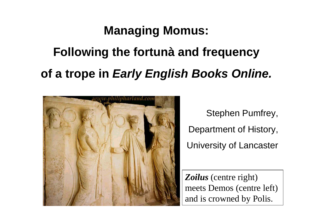## **Managing Momus:**

# **Following the fortunà and frequency of a trope in** *Early English Books Online.*



Stephen Pumfrey, Department of History, University of Lancaster

*Zoilus* (centre right) meets Demos (centre left) and is crowned by Polis.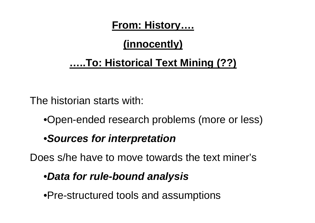**From: History….**

### **(innocently)**

### **…..To: Historical Text Mining (??)**

The historian starts with:

•Open-ended research problems (more or less)

### •*Sources for interpretation*

Does s/he have to move towards the text miner's

### •*Data for rule-bound analysis*

•Pre-structured tools and assumptions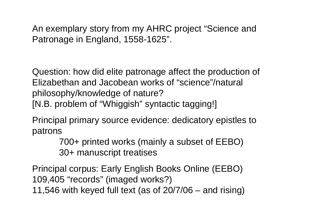An exemplary story from my AHRC project "Science and Patronage in England, 1558-1625".

Question: how did elite patronage affect the production of Elizabethan and Jacobean works of "science"/natural philosophy/knowledge of nature?

[N.B. problem of "Whiggish" syntactic tagging!]

Principal primary source evidence: dedicatory epistles to patrons

> 700+ printed works (mainly a subset of EEBO) 30+ manuscript treatises

Principal corpus: Early English Books Online (EEBO) 109,405 "records" (imaged works?) 11,546 with keyed full text (as of 20/7/06 – and rising)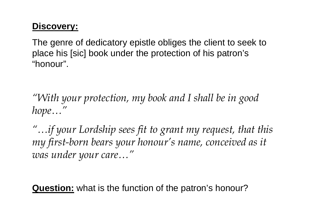#### **Discovery:**

The genre of dedicatory epistle obliges the client to seek to place his [sic] book under the protection of his patron's "honour".

*"With your protection, my book and I shall be in good hope…"*

*"…if your Lordship sees fit to grant my request, that this my first-born bears your honour's name, conceived as it was under your care…"*

**Question:** what is the function of the patron's honour?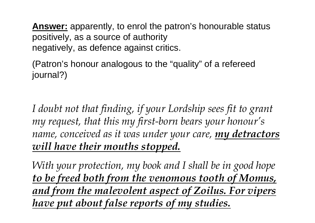**Answer:** apparently, to enrol the patron's honourable status positively, as a source of authority negatively, as defence against critics.

(Patron's honour analogous to the "quality" of a refereed journal?)

*I doubt not that finding, if your Lordship sees fit to grant my request, that this my first-born bears your honour's name, conceived as it was under your care, my detractors will have their mouths stopped.*

*With your protection, my book and I shall be in good hope to be freed both from the venomous tooth of Momus, and from the malevolent aspect of Zoilus. For vipers have put about false reports of my studies.*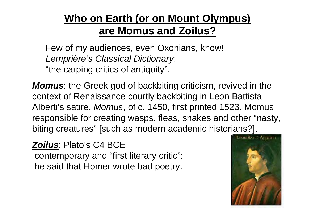### **Who on Earth (or on Mount Olympus) are Momus and Zoilus?**

Few of my audiences, even Oxonians, know! *Lemprière's Classical Dictionary*: "the carping critics of antiquity".

*Momus*: the Greek god of backbiting criticism, revived in the context of Renaissance courtly backbiting in Leon Battista Alberti's satire, *Momus*, of c. 1450, first printed 1523. Momus responsible for creating wasps, fleas, snakes and other "nasty, biting creatures" [such as modern academic historians?].

#### *Zoilus*: Plato's C4 BCE

contemporary and "first literary critic": he said that Homer wrote bad poetry.

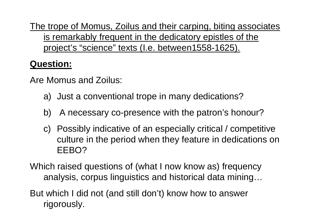The trope of Momus, Zoilus and their carping, biting associates is remarkably frequent in the dedicatory epistles of the project's "science" texts (I.e. between1558-1625).

### **Question:**

Are Momus and Zoilus:

- a) Just a conventional trope in many dedications?
- b) A necessary co-presence with the patron's honour?
- c) Possibly indicative of an especially critical / competitive culture in the period when they feature in dedications on EEBO?
- Which raised questions of (what I now know as) frequency analysis, corpus linguistics and historical data mining…
- But which I did not (and still don't) know how to answer rigorously.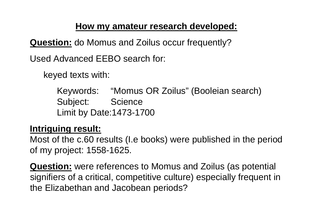#### **How my amateur research developed:**

**Question:** do Momus and Zoilus occur frequently?

Used Advanced EEBO search for:

keyed texts with:

Keywords: "Momus OR Zoilus" (Booleian search) Subject: Science Limit by Date:1473-1700

#### **Intriguing result:**

Most of the c.60 results (I.e books) were published in the period of my project: 1558-1625.

**Question:** were references to Momus and Zoilus (as potential signifiers of a critical, competitive culture) especially frequent in the Elizabethan and Jacobean periods?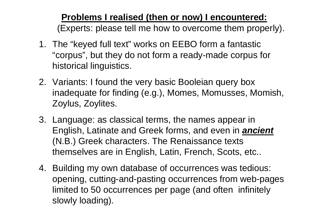**Problems I realised (then or now) I encountered:** (Experts: please tell me how to overcome them properly).

- 1. The "keyed full text" works on EEBO form a fantastic "corpus", but they do not form a ready-made corpus for historical linguistics.
- 2. Variants: I found the very basic Booleian query box inadequate for finding (e.g.), Momes, Momusses, Momish, Zoylus, Zoylites.
- 3. Language: as classical terms, the names appear in English, Latinate and Greek forms, and even in *ancient* (N.B.) Greek characters. The Renaissance texts themselves are in English, Latin, French, Scots, etc..
- 4. Building my own database of occurrences was tedious: opening, cutting-and-pasting occurrences from web-pages limited to 50 occurrences per page (and often infinitely slowly loading).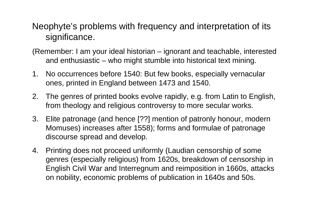#### Neophyte's problems with frequency and interpretation of its significance.

- (Remember: I am your ideal historian ignorant and teachable, interested and enthusiastic – who might stumble into historical text mining.
- 1. No occurrences before 1540: But few books, especially vernacular ones, printed in England between 1473 and 1540.
- 2. The genres of printed books evolve rapidly, e.g. from Latin to English, from theology and religious controversy to more secular works.
- 3. Elite patronage (and hence [??] mention of patronly honour, modern Momuses) increases after 1558); forms and formulae of patronage discourse spread and develop.
- 4. Printing does not proceed uniformly (Laudian censorship of some genres (especially religious) from 1620s, breakdown of censorship in English Civil War and Interregnum and reimposition in 1660s, attacks on nobility, economic problems of publication in 1640s and 50s.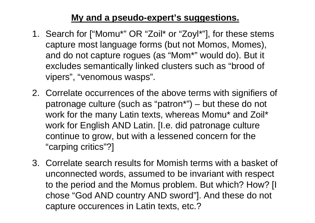#### **My and a pseudo-expert's suggestions.**

- 1. Search for ["Momu\*" OR "Zoil\* or "Zoyl\*"], for these stems capture most language forms (but not Momos, Momes), and do not capture rogues (as "Mom\*" would do). But it excludes semantically linked clusters such as "brood of vipers", "venomous wasps".
- 2. Correlate occurrences of the above terms with signifiers of patronage culture (such as "patron\*") – but these do not work for the many Latin texts, whereas Momu\* and Zoil\* work for English AND Latin. [I.e. did patronage culture continue to grow, but with a lessened concern for the "carping critics"?]
- 3. Correlate search results for Momish terms with a basket of unconnected words, assumed to be invariant with respect to the period and the Momus problem. But which? How? [I chose "God AND country AND sword"]. And these do not capture occurences in Latin texts, etc.?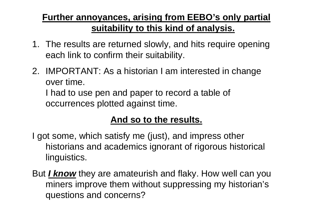### **Further annoyances, arising from EEBO's only partial suitability to this kind of analysis.**

- 1. The results are returned slowly, and hits require opening each link to confirm their suitability.
- 2. IMPORTANT: As a historian I am interested in change over time.

I had to use pen and paper to record a table of occurrences plotted against time.

### **And so to the results.**

I got some, which satisfy me (just), and impress other historians and academics ignorant of rigorous historical linguistics.

But *I know* they are amateurish and flaky. How well can you miners improve them without suppressing my historian's questions and concerns?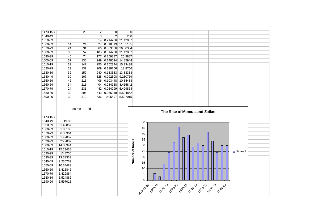| 1473-1539 | $\overline{0}$  | 29             | $\overline{2}$ | $\overline{0}$ |          | $\overline{0}$  |          |                              |  |  |  |  |           |  |  |
|-----------|-----------------|----------------|----------------|----------------|----------|-----------------|----------|------------------------------|--|--|--|--|-----------|--|--|
| 1540-49   | 6               | 8 <sup>1</sup> | $\overline{3}$ | $\overline{2}$ | 200      |                 |          |                              |  |  |  |  |           |  |  |
| 1550-59   | 3               | 8 <sup>1</sup> | 14             | 0.214286       | 21.42857 |                 |          |                              |  |  |  |  |           |  |  |
| 1560-69   | 14              | 24             | 27             | 0.518519       | 51.85185 |                 |          |                              |  |  |  |  |           |  |  |
| 1570-79   | 24              | 31             | 66             | 0.363636       | 36.36364 |                 |          |                              |  |  |  |  |           |  |  |
| 1580-89   | 33              | 52             | 105            | 0.314286       | 31.42857 |                 |          |                              |  |  |  |  |           |  |  |
| 1590-99   | 46              | 74             | 177            | 0.259887       | 25.9887  |                 |          |                              |  |  |  |  |           |  |  |
| 1600-09   | 37              | 130            | 249            | 0.148594       | 14.85944 |                 |          |                              |  |  |  |  |           |  |  |
| 1610-19   | 39              | 147            | 256            | 0.152344       | 15.23438 |                 |          |                              |  |  |  |  |           |  |  |
| 1620-29   | 29              | 137            | 209            | 0.138756       | 13.8756  |                 |          |                              |  |  |  |  |           |  |  |
| 1630-39   | 32              | 159            | 240            | 0.133333       | 13.33333 |                 |          |                              |  |  |  |  |           |  |  |
| 1640-49   | 30              | 167            | 325            | 0.092308       | 9.230769 |                 |          |                              |  |  |  |  |           |  |  |
| 1650-59   | 42              | 213            | 406            | 0.103448       | 10.34483 |                 |          |                              |  |  |  |  |           |  |  |
| 1660-69   | 34              | 213            | 404            | 0.084158       | 8.415842 |                 |          |                              |  |  |  |  |           |  |  |
| 1670-79   | 24              | 231            | 442            | 0.054299       | 5.429864 |                 |          |                              |  |  |  |  |           |  |  |
| 1680-89   | 30 <sup>°</sup> | 296            | 543            | 0.055249       | 5.524862 |                 |          |                              |  |  |  |  |           |  |  |
| 1690-99   | 30              | 312            | 536            | 0.05597        | 5.597015 |                 |          |                              |  |  |  |  |           |  |  |
|           |                 |                |                |                |          |                 |          |                              |  |  |  |  |           |  |  |
|           |                 | patron         | cd             |                |          |                 |          |                              |  |  |  |  |           |  |  |
|           |                 |                |                |                |          |                 |          | The Rise of Momus and Zoilus |  |  |  |  |           |  |  |
| 1473-1539 | $\overline{0}$  |                |                |                |          |                 |          |                              |  |  |  |  |           |  |  |
| 1540-49   | 19.85           |                |                |                |          |                 | 50       |                              |  |  |  |  |           |  |  |
| 1550-59   | 21.42857        |                |                |                |          |                 |          |                              |  |  |  |  |           |  |  |
| 1560-69   |                 |                |                |                |          |                 |          |                              |  |  |  |  |           |  |  |
|           | 51.85185        |                |                |                |          |                 | 45       |                              |  |  |  |  |           |  |  |
| 1570-79   | 36.36364        |                |                |                |          |                 |          |                              |  |  |  |  |           |  |  |
| 1580-89   | 31.42857        |                |                |                |          |                 | 40       |                              |  |  |  |  |           |  |  |
| 1590-99   | 25.9887         |                |                |                |          |                 | 35       |                              |  |  |  |  |           |  |  |
| 1600-09   | 14.85944        |                |                |                |          |                 | 30       |                              |  |  |  |  |           |  |  |
| 1610-19   | 15.23438        |                |                |                |          |                 |          |                              |  |  |  |  |           |  |  |
| 1620-29   | 13.8756         |                |                |                |          |                 | 25       |                              |  |  |  |  | □ Series1 |  |  |
| 1630-39   | 13.33333        |                |                |                |          |                 | 20       |                              |  |  |  |  |           |  |  |
| 1640-49   | 9.230769        |                |                |                |          |                 |          |                              |  |  |  |  |           |  |  |
| 1650-59   | 10.34483        |                |                |                |          | Number of books | 15       |                              |  |  |  |  |           |  |  |
| 1660-69   | 8.415842        |                |                |                |          |                 | 10       |                              |  |  |  |  |           |  |  |
| 1670-79   | 5.429864        |                |                |                |          |                 |          |                              |  |  |  |  |           |  |  |
| 1680-89   | 5.524862        |                |                |                |          |                 | 5        |                              |  |  |  |  |           |  |  |
| 1690-99   | 5.597015        |                |                |                |          |                 | $\Omega$ |                              |  |  |  |  |           |  |  |
|           |                 |                |                |                |          |                 |          |                              |  |  |  |  |           |  |  |
|           |                 |                |                |                |          |                 |          |                              |  |  |  |  |           |  |  |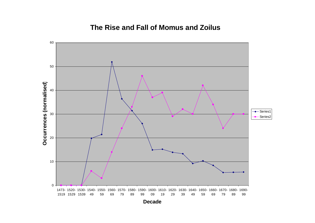#### **The Rise and Fall of Momus and Zoilus**

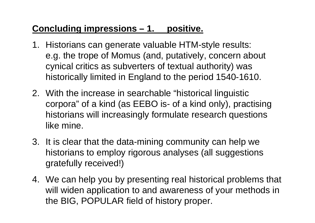### **Concluding impressions – 1. positive.**

- 1. Historians can generate valuable HTM-style results: e.g. the trope of Momus (and, putatively, concern about cynical critics as subverters of textual authority) was historically limited in England to the period 1540-1610.
- 2. With the increase in searchable "historical linguistic corpora" of a kind (as EEBO is- of a kind only), practising historians will increasingly formulate research questions like mine.
- 3. It is clear that the data-mining community can help we historians to employ rigorous analyses (all suggestions gratefully received!)
- 4. We can help you by presenting real historical problems that will widen application to and awareness of your methods in the BIG, POPULAR field of history proper.